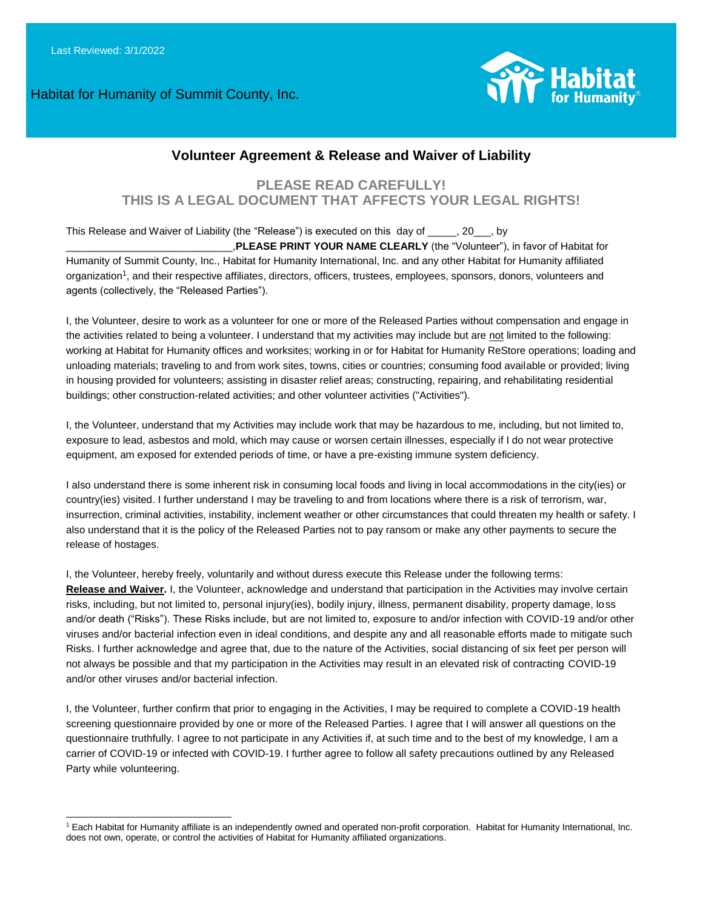l

Habitat for Humanity of Summit County, Inc.

agents (collectively, the "Released Parties").



# **Volunteer Agreement & Release and Waiver of Liability**

# **PLEASE READ CAREFULLY! THIS IS A LEGAL DOCUMENT THAT AFFECTS YOUR LEGAL RIGHTS!**

This Release and Waiver of Liability (the "Release") is executed on this day of \_\_\_\_\_, 20\_\_\_, by \_\_\_\_\_\_\_\_\_\_\_\_\_\_\_\_\_\_\_\_\_\_\_\_\_\_\_\_\_,**PLEASE PRINT YOUR NAME CLEARLY** (the "Volunteer"), in favor of Habitat for Humanity of Summit County, Inc., Habitat for Humanity International, Inc. and any other Habitat for Humanity affiliated organization<sup>1</sup>, and their respective affiliates, directors, officers, trustees, employees, sponsors, donors, volunteers and

I, the Volunteer, desire to work as a volunteer for one or more of the Released Parties without compensation and engage in the activities related to being a volunteer. I understand that my activities may include but are not limited to the following: working at Habitat for Humanity offices and worksites; working in or for Habitat for Humanity ReStore operations; loading and unloading materials; traveling to and from work sites, towns, cities or countries; consuming food available or provided; living in housing provided for volunteers; assisting in disaster relief areas; constructing, repairing, and rehabilitating residential buildings; other construction-related activities; and other volunteer activities ("Activities").

I, the Volunteer, understand that my Activities may include work that may be hazardous to me, including, but not limited to, exposure to lead, asbestos and mold, which may cause or worsen certain illnesses, especially if I do not wear protective equipment, am exposed for extended periods of time, or have a pre-existing immune system deficiency.

I also understand there is some inherent risk in consuming local foods and living in local accommodations in the city(ies) or country(ies) visited. I further understand I may be traveling to and from locations where there is a risk of terrorism, war, insurrection, criminal activities, instability, inclement weather or other circumstances that could threaten my health or safety. I also understand that it is the policy of the Released Parties not to pay ransom or make any other payments to secure the release of hostages.

I, the Volunteer, hereby freely, voluntarily and without duress execute this Release under the following terms: **Release and Waiver.** I, the Volunteer, acknowledge and understand that participation in the Activities may involve certain risks, including, but not limited to, personal injury(ies), bodily injury, illness, permanent disability, property damage, loss and/or death ("Risks"). These Risks include, but are not limited to, exposure to and/or infection with COVID-19 and/or other viruses and/or bacterial infection even in ideal conditions, and despite any and all reasonable efforts made to mitigate such Risks. I further acknowledge and agree that, due to the nature of the Activities, social distancing of six feet per person will not always be possible and that my participation in the Activities may result in an elevated risk of contracting COVID-19 and/or other viruses and/or bacterial infection.

I, the Volunteer, further confirm that prior to engaging in the Activities, I may be required to complete a COVID-19 health screening questionnaire provided by one or more of the Released Parties. I agree that I will answer all questions on the questionnaire truthfully. I agree to not participate in any Activities if, at such time and to the best of my knowledge, I am a carrier of COVID-19 or infected with COVID-19. I further agree to follow all safety precautions outlined by any Released Party while volunteering.

<sup>1</sup> Each Habitat for Humanity affiliate is an independently owned and operated non-profit corporation. Habitat for Humanity International, Inc. does not own, operate, or control the activities of Habitat for Humanity affiliated organizations.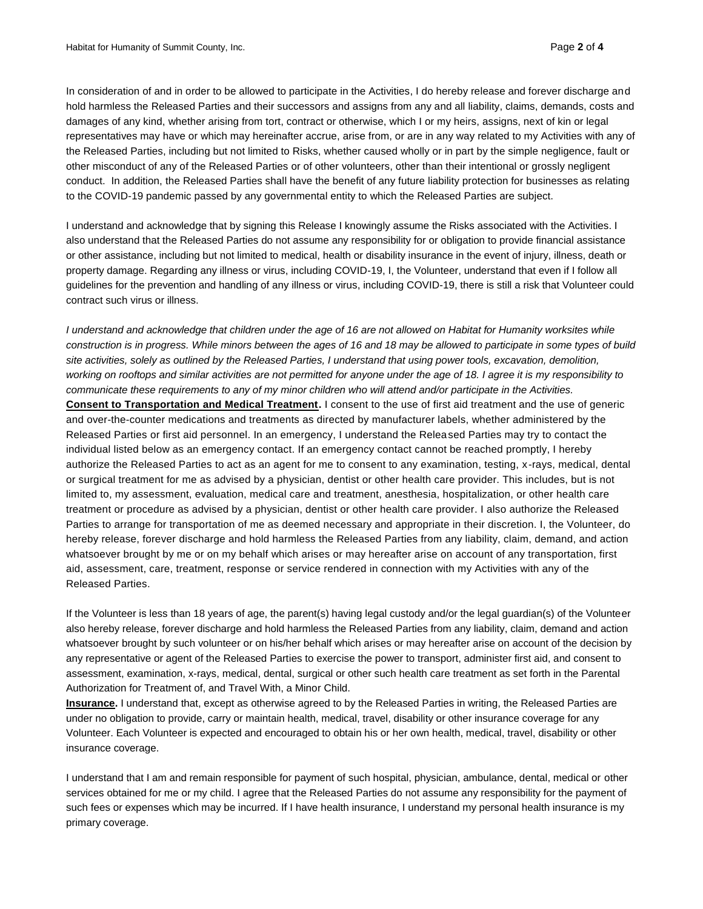In consideration of and in order to be allowed to participate in the Activities, I do hereby release and forever discharge and hold harmless the Released Parties and their successors and assigns from any and all liability, claims, demands, costs and damages of any kind, whether arising from tort, contract or otherwise, which I or my heirs, assigns, next of kin or legal representatives may have or which may hereinafter accrue, arise from, or are in any way related to my Activities with any of the Released Parties, including but not limited to Risks, whether caused wholly or in part by the simple negligence, fault or other misconduct of any of the Released Parties or of other volunteers, other than their intentional or grossly negligent conduct. In addition, the Released Parties shall have the benefit of any future liability protection for businesses as relating to the COVID-19 pandemic passed by any governmental entity to which the Released Parties are subject.

I understand and acknowledge that by signing this Release I knowingly assume the Risks associated with the Activities. I also understand that the Released Parties do not assume any responsibility for or obligation to provide financial assistance or other assistance, including but not limited to medical, health or disability insurance in the event of injury, illness, death or property damage. Regarding any illness or virus, including COVID-19, I, the Volunteer, understand that even if I follow all guidelines for the prevention and handling of any illness or virus, including COVID-19, there is still a risk that Volunteer could contract such virus or illness.

*I understand and acknowledge that children under the age of 16 are not allowed on Habitat for Humanity worksites while construction is in progress. While minors between the ages of 16 and 18 may be allowed to participate in some types of build site activities, solely as outlined by the Released Parties, I understand that using power tools, excavation, demolition, working on rooftops and similar activities are not permitted for anyone under the age of 18. I agree it is my responsibility to communicate these requirements to any of my minor children who will attend and/or participate in the Activities.* **Consent to Transportation and Medical Treatment.** I consent to the use of first aid treatment and the use of generic and over-the-counter medications and treatments as directed by manufacturer labels, whether administered by the Released Parties or first aid personnel. In an emergency, I understand the Released Parties may try to contact the individual listed below as an emergency contact. If an emergency contact cannot be reached promptly, I hereby authorize the Released Parties to act as an agent for me to consent to any examination, testing, x-rays, medical, dental or surgical treatment for me as advised by a physician, dentist or other health care provider. This includes, but is not limited to, my assessment, evaluation, medical care and treatment, anesthesia, hospitalization, or other health care treatment or procedure as advised by a physician, dentist or other health care provider. I also authorize the Released Parties to arrange for transportation of me as deemed necessary and appropriate in their discretion. I, the Volunteer, do hereby release, forever discharge and hold harmless the Released Parties from any liability, claim, demand, and action whatsoever brought by me or on my behalf which arises or may hereafter arise on account of any transportation, first aid, assessment, care, treatment, response or service rendered in connection with my Activities with any of the Released Parties.

If the Volunteer is less than 18 years of age, the parent(s) having legal custody and/or the legal guardian(s) of the Volunteer also hereby release, forever discharge and hold harmless the Released Parties from any liability, claim, demand and action whatsoever brought by such volunteer or on his/her behalf which arises or may hereafter arise on account of the decision by any representative or agent of the Released Parties to exercise the power to transport, administer first aid, and consent to assessment, examination, x-rays, medical, dental, surgical or other such health care treatment as set forth in the Parental Authorization for Treatment of, and Travel With, a Minor Child.

**Insurance.** I understand that, except as otherwise agreed to by the Released Parties in writing, the Released Parties are under no obligation to provide, carry or maintain health, medical, travel, disability or other insurance coverage for any Volunteer. Each Volunteer is expected and encouraged to obtain his or her own health, medical, travel, disability or other insurance coverage.

I understand that I am and remain responsible for payment of such hospital, physician, ambulance, dental, medical or other services obtained for me or my child. I agree that the Released Parties do not assume any responsibility for the payment of such fees or expenses which may be incurred. If I have health insurance, I understand my personal health insurance is my primary coverage.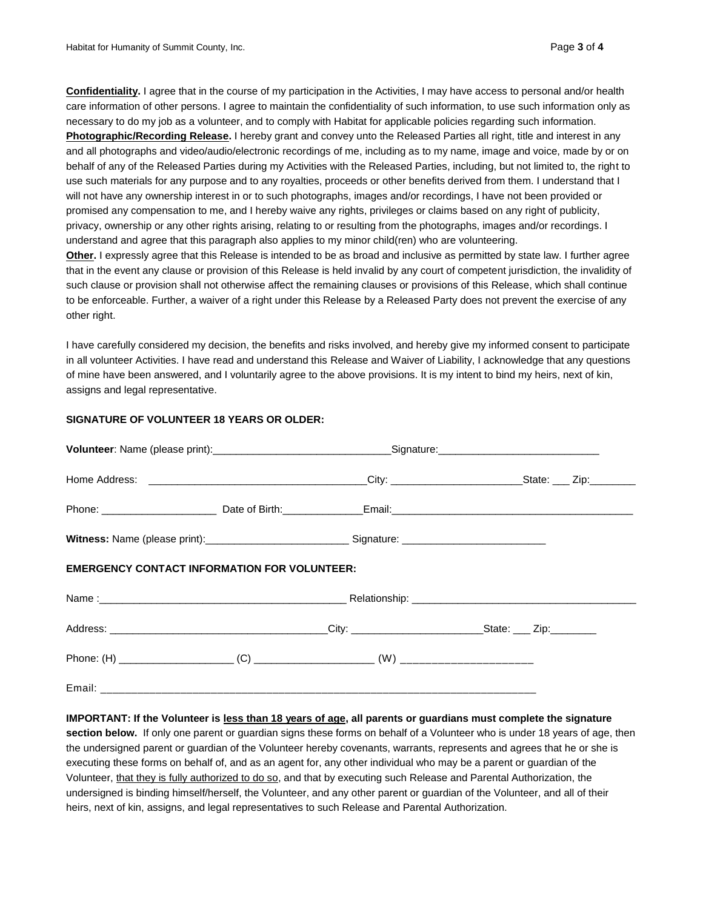**Confidentiality.** I agree that in the course of my participation in the Activities, I may have access to personal and/or health care information of other persons. I agree to maintain the confidentiality of such information, to use such information only as necessary to do my job as a volunteer, and to comply with Habitat for applicable policies regarding such information. **Photographic/Recording Release.** I hereby grant and convey unto the Released Parties all right, title and interest in any and all photographs and video/audio/electronic recordings of me, including as to my name, image and voice, made by or on behalf of any of the Released Parties during my Activities with the Released Parties, including, but not limited to, the right to use such materials for any purpose and to any royalties, proceeds or other benefits derived from them. I understand that I will not have any ownership interest in or to such photographs, images and/or recordings, I have not been provided or promised any compensation to me, and I hereby waive any rights, privileges or claims based on any right of publicity, privacy, ownership or any other rights arising, relating to or resulting from the photographs, images and/or recordings. I understand and agree that this paragraph also applies to my minor child(ren) who are volunteering.

**Other.** I expressly agree that this Release is intended to be as broad and inclusive as permitted by state law. I further agree that in the event any clause or provision of this Release is held invalid by any court of competent jurisdiction, the invalidity of such clause or provision shall not otherwise affect the remaining clauses or provisions of this Release, which shall continue to be enforceable. Further, a waiver of a right under this Release by a Released Party does not prevent the exercise of any other right.

I have carefully considered my decision, the benefits and risks involved, and hereby give my informed consent to participate in all volunteer Activities. I have read and understand this Release and Waiver of Liability, I acknowledge that any questions of mine have been answered, and I voluntarily agree to the above provisions. It is my intent to bind my heirs, next of kin, assigns and legal representative.

## **SIGNATURE OF VOLUNTEER 18 YEARS OR OLDER:**

| <b>EMERGENCY CONTACT INFORMATION FOR VOLUNTEER:</b> |  |  |  |  |  |  |  |
|-----------------------------------------------------|--|--|--|--|--|--|--|
|                                                     |  |  |  |  |  |  |  |
|                                                     |  |  |  |  |  |  |  |
|                                                     |  |  |  |  |  |  |  |
|                                                     |  |  |  |  |  |  |  |

**IMPORTANT: If the Volunteer is less than 18 years of age, all parents or guardians must complete the signature section below.** If only one parent or guardian signs these forms on behalf of a Volunteer who is under 18 years of age, then the undersigned parent or guardian of the Volunteer hereby covenants, warrants, represents and agrees that he or she is executing these forms on behalf of, and as an agent for, any other individual who may be a parent or guardian of the Volunteer, that they is fully authorized to do so, and that by executing such Release and Parental Authorization, the undersigned is binding himself/herself, the Volunteer, and any other parent or guardian of the Volunteer, and all of their heirs, next of kin, assigns, and legal representatives to such Release and Parental Authorization.